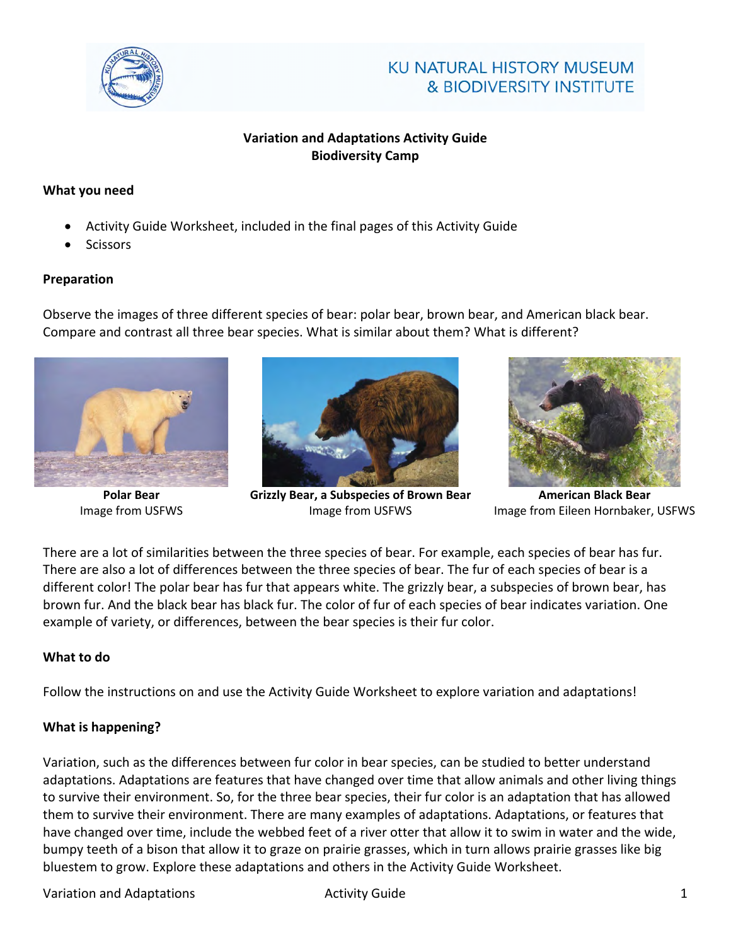

# KU NATURAL HISTORY MUSEUM & BIODIVERSITY INSTITUTE

## **Variation and Adaptations Activity Guide Biodiversity Camp**

## **What you need**

- Activity Guide Worksheet, included in the final pages of this Activity Guide
- **Scissors**

## **Preparation**

Observe the images of three different species of bear: polar bear, brown bear, and American black bear. Compare and contrast all three bear species. What is similar about them? What is different?



**Polar Bear** Image from USFWS



**Grizzly Bear, a Subspecies of Brown Bear**  Image from USFWS



**American Black Bear** Image from Eileen Hornbaker, USFWS

There are a lot of similarities between the three species of bear. For example, each species of bear has fur. There are also a lot of differences between the three species of bear. The fur of each species of bear is a different color! The polar bear has fur that appears white. The grizzly bear, a subspecies of brown bear, has brown fur. And the black bear has black fur. The color of fur of each species of bear indicates variation. One example of variety, or differences, between the bear species is their fur color.

## **What to do**

Follow the instructions on and use the Activity Guide Worksheet to explore variation and adaptations!

## **What is happening?**

Variation, such as the differences between fur color in bear species, can be studied to better understand adaptations. Adaptations are features that have changed over time that allow animals and other living things to survive their environment. So, for the three bear species, their fur color is an adaptation that has allowed them to survive their environment. There are many examples of adaptations. Adaptations, or features that have changed over time, include the webbed feet of a river otter that allow it to swim in water and the wide, bumpy teeth of a bison that allow it to graze on prairie grasses, which in turn allows prairie grasses like big bluestem to grow. Explore these adaptations and others in the Activity Guide Worksheet.

## Variation and Adaptations The Contract of Activity Guide 1 and 2012 1 and 2012 1 and 2013 1 and 2013 1 and 201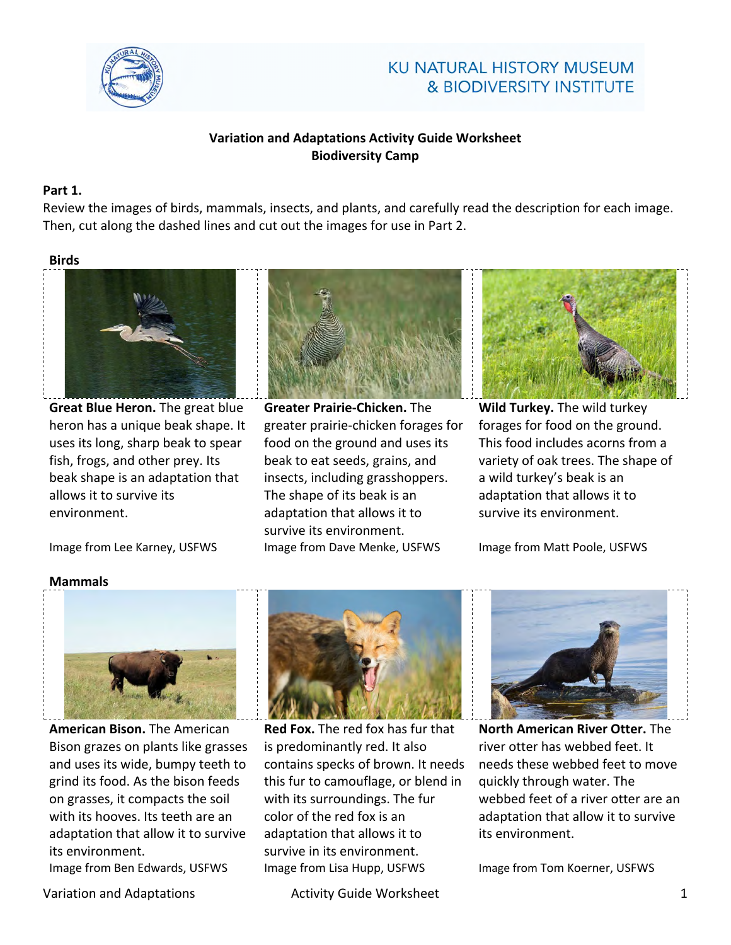

# KU NATURAL HISTORY MUSEUM & BIODIVERSITY INSTITUTE

## **Variation and Adaptations Activity Guide Worksheet Biodiversity Camp**

### **Part 1.**

Review the images of birds, mammals, insects, and plants, and carefully read the description for each image. Then, cut along the dashed lines and cut out the images for use in Part 2.

#### **Birds**



**Great Blue Heron.** The great blue heron has a unique beak shape. It uses its long, sharp beak to spear fish, frogs, and other prey. Its beak shape is an adaptation that allows it to survive its environment.

**Greater Prairie-Chicken.** The greater prairie-chicken forages for food on the ground and uses its beak to eat seeds, grains, and insects, including grasshoppers. The shape of its beak is an adaptation that allows it to survive its environment. Image from Lee Karney, USFWS Image from Dave Menke, USFWS Image from Matt Poole, USFWS



**Wild Turkey.** The wild turkey forages for food on the ground. This food includes acorns from a variety of oak trees. The shape of a wild turkey's beak is an adaptation that allows it to survive its environment.

### **Mammals**



**American Bison.** The American Bison grazes on plants like grasses and uses its wide, bumpy teeth to grind its food. As the bison feeds on grasses, it compacts the soil with its hooves. Its teeth are an adaptation that allow it to survive its environment.

Variation and Adaptations The Control of Activity Guide Worksheet The Control of the Control of The Control of T



**Red Fox.** The red fox has fur that is predominantly red. It also contains specks of brown. It needs this fur to camouflage, or blend in with its surroundings. The fur color of the red fox is an adaptation that allows it to survive in its environment. Image from Ben Edwards, USFWS Image from Lisa Hupp, USFWS Image from Tom Koerner, USFWS



**North American River Otter.** The river otter has webbed feet. It needs these webbed feet to move quickly through water. The webbed feet of a river otter are an adaptation that allow it to survive its environment.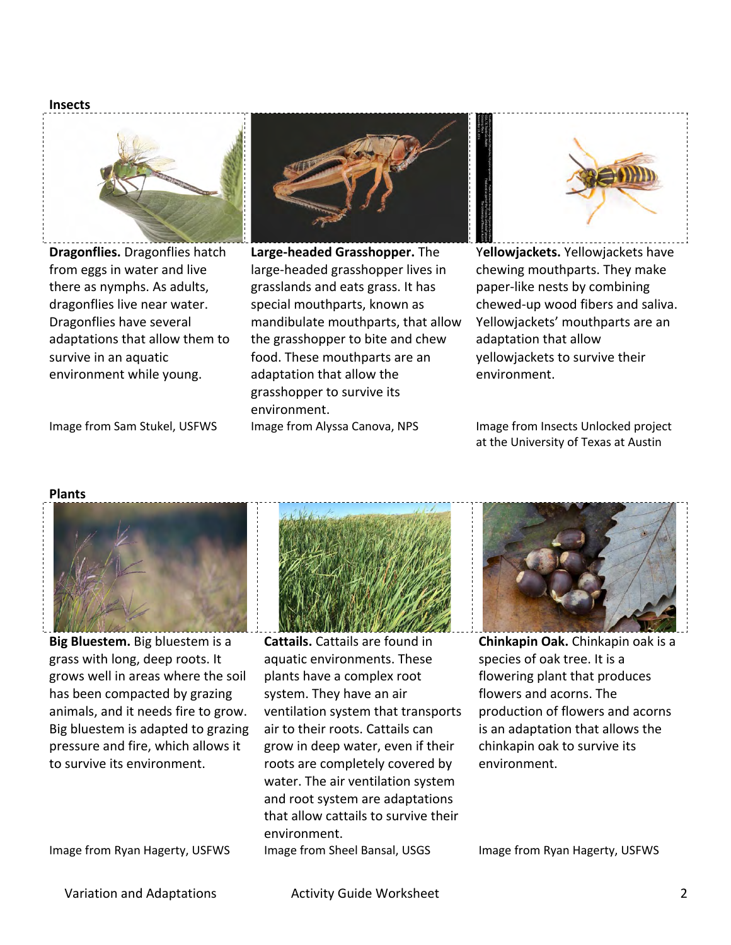



**Dragonflies.** Dragonflies hatch from eggs in water and live there as nymphs. As adults, dragonflies live near water. Dragonflies have several adaptations that allow them to survive in an aquatic environment while young.



**Large-headed Grasshopper.** The large-headed grasshopper lives in grasslands and eats grass. It has special mouthparts, known as mandibulate mouthparts, that allow the grasshopper to bite and chew food. These mouthparts are an adaptation that allow the grasshopper to survive its environment. Image from Sam Stukel, USFWS Image from Alyssa Canova, NPS Image from Insects Unlocked project



Y**ellowjackets.** Yellowjackets have chewing mouthparts. They make paper-like nests by combining chewed-up wood fibers and saliva. Yellowjackets' mouthparts are an adaptation that allow yellowjackets to survive their environment.

at the University of Texas at Austin

#### **Plants**



**Big Bluestem.** Big bluestem is a grass with long, deep roots. It grows well in areas where the soil has been compacted by grazing animals, and it needs fire to grow. Big bluestem is adapted to grazing pressure and fire, which allows it to survive its environment.

Image from Ryan Hagerty, USFWS Image from Sheel Bansal, USGS Image from Ryan Hagerty, USFWS



**Cattails.** Cattails are found in aquatic environments. These plants have a complex root system. They have an air ventilation system that transports air to their roots. Cattails can grow in deep water, even if their roots are completely covered by water. The air ventilation system and root system are adaptations that allow cattails to survive their environment.



**Chinkapin Oak.** Chinkapin oak is a species of oak tree. It is a flowering plant that produces flowers and acorns. The production of flowers and acorns is an adaptation that allows the chinkapin oak to survive its environment.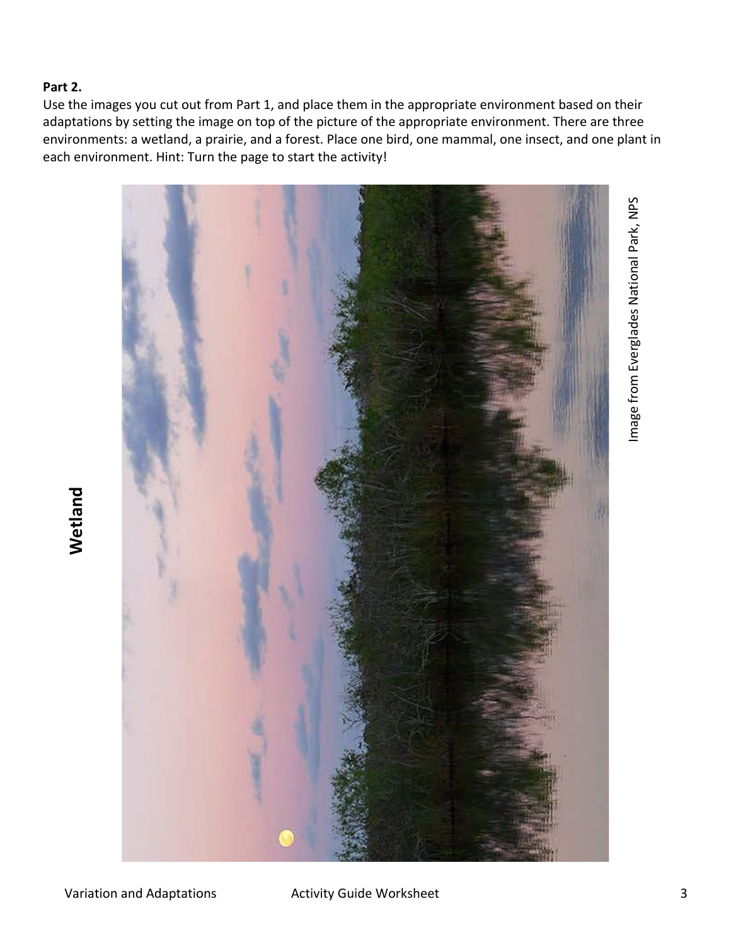## **Part 2.**

**Wetland**

Use the images you cut out from Part 1, and place them in the appropriate environment based on their adaptations by setting the image on top of the picture of the appropriate environment. There are three environments: a wetland, a prairie, and a forest. Place one bird, one mammal, one insect, and one plant in each environment. Hint: Turn the page to start the activity!

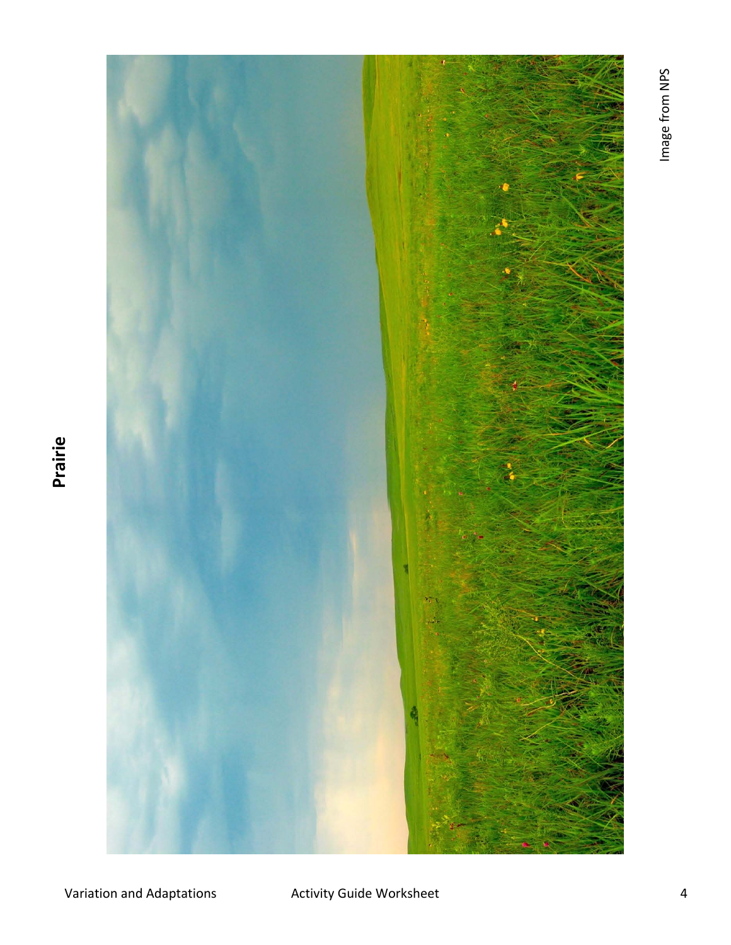